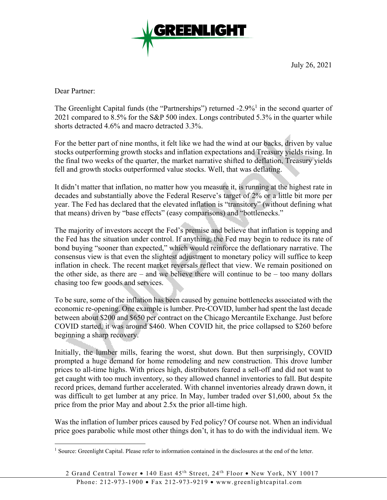

July 26, 2021

Dear Partner:

 $\overline{a}$ 

The Greenlight Capital funds (the "Partnerships") returned  $-2.9\%$ <sup>1</sup> in the second quarter of 2021 compared to 8.5% for the S&P 500 index. Longs contributed 5.3% in the quarter while shorts detracted 4.6% and macro detracted 3.3%.

For the better part of nine months, it felt like we had the wind at our backs, driven by value stocks outperforming growth stocks and inflation expectations and Treasury yields rising. In the final two weeks of the quarter, the market narrative shifted to deflation, Treasury yields fell and growth stocks outperformed value stocks. Well, that was deflating.

It didn't matter that inflation, no matter how you measure it, is running at the highest rate in decades and substantially above the Federal Reserve's target of 2% or a little bit more per year. The Fed has declared that the elevated inflation is "transitory" (without defining what that means) driven by "base effects" (easy comparisons) and "bottlenecks."

The majority of investors accept the Fed's premise and believe that inflation is topping and the Fed has the situation under control. If anything, the Fed may begin to reduce its rate of bond buying "sooner than expected," which would reinforce the deflationary narrative. The consensus view is that even the slightest adjustment to monetary policy will suffice to keep inflation in check. The recent market reversals reflect that view. We remain positioned on the other side, as there are – and we believe there will continue to be – too many dollars chasing too few goods and services.

To be sure, some of the inflation has been caused by genuine bottlenecks associated with the economic re-opening. One example is lumber. Pre-COVID, lumber had spent the last decade between about \$200 and \$650 per contract on the Chicago Mercantile Exchange. Just before COVID started, it was around \$460. When COVID hit, the price collapsed to \$260 before beginning a sharp recovery.

Initially, the lumber mills, fearing the worst, shut down. But then surprisingly, COVID prompted a huge demand for home remodeling and new construction. This drove lumber prices to all-time highs. With prices high, distributors feared a sell-off and did not want to get caught with too much inventory, so they allowed channel inventories to fall. But despite record prices, demand further accelerated. With channel inventories already drawn down, it was difficult to get lumber at any price. In May, lumber traded over \$1,600, about 5x the price from the prior May and about 2.5x the prior all-time high.

Was the inflation of lumber prices caused by Fed policy? Of course not. When an individual price goes parabolic while most other things don't, it has to do with the individual item. We

<sup>&</sup>lt;sup>1</sup> Source: Greenlight Capital. Please refer to information contained in the disclosures at the end of the letter.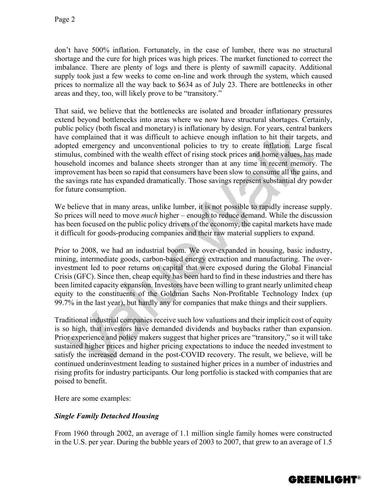don't have 500% inflation. Fortunately, in the case of lumber, there was no structural shortage and the cure for high prices was high prices. The market functioned to correct the imbalance. There are plenty of logs and there is plenty of sawmill capacity. Additional supply took just a few weeks to come on-line and work through the system, which caused prices to normalize all the way back to \$634 as of July 23. There are bottlenecks in other areas and they, too, will likely prove to be "transitory."

That said, we believe that the bottlenecks are isolated and broader inflationary pressures extend beyond bottlenecks into areas where we now have structural shortages. Certainly, public policy (both fiscal and monetary) is inflationary by design. For years, central bankers have complained that it was difficult to achieve enough inflation to hit their targets, and adopted emergency and unconventional policies to try to create inflation. Large fiscal stimulus, combined with the wealth effect of rising stock prices and home values, has made household incomes and balance sheets stronger than at any time in recent memory. The improvement has been so rapid that consumers have been slow to consume all the gains, and the savings rate has expanded dramatically. Those savings represent substantial dry powder for future consumption.

We believe that in many areas, unlike lumber, it is not possible to rapidly increase supply. So prices will need to move *much* higher – enough to reduce demand. While the discussion has been focused on the public policy drivers of the economy, the capital markets have made it difficult for goods-producing companies and their raw material suppliers to expand.

Prior to 2008, we had an industrial boom. We over-expanded in housing, basic industry, mining, intermediate goods, carbon-based energy extraction and manufacturing. The overinvestment led to poor returns on capital that were exposed during the Global Financial Crisis (GFC). Since then, cheap equity has been hard to find in these industries and there has been limited capacity expansion. Investors have been willing to grant nearly unlimited cheap equity to the constituents of the Goldman Sachs Non-Profitable Technology Index (up 99.7% in the last year), but hardly any for companies that make things and their suppliers.

Traditional industrial companies receive such low valuations and their implicit cost of equity is so high, that investors have demanded dividends and buybacks rather than expansion. Prior experience and policy makers suggest that higher prices are "transitory," so it will take sustained higher prices and higher pricing expectations to induce the needed investment to satisfy the increased demand in the post-COVID recovery. The result, we believe, will be continued underinvestment leading to sustained higher prices in a number of industries and rising profits for industry participants. Our long portfolio is stacked with companies that are poised to benefit.

Here are some examples:

# *Single Family Detached Housing*

From 1960 through 2002, an average of 1.1 million single family homes were constructed in the U.S. per year. During the bubble years of 2003 to 2007, that grew to an average of 1.5

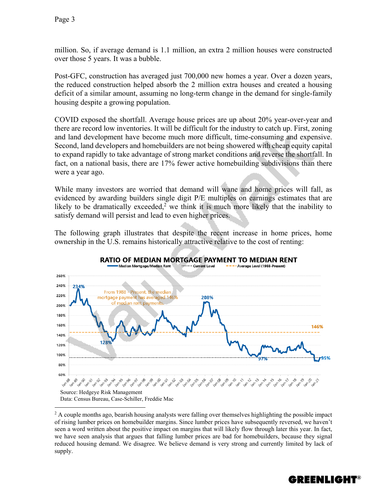$\overline{a}$ 

million. So, if average demand is 1.1 million, an extra 2 million houses were constructed over those 5 years. It was a bubble.

Post-GFC, construction has averaged just 700,000 new homes a year. Over a dozen years, the reduced construction helped absorb the 2 million extra houses and created a housing deficit of a similar amount, assuming no long-term change in the demand for single-family housing despite a growing population.

COVID exposed the shortfall. Average house prices are up about 20% year-over-year and there are record low inventories. It will be difficult for the industry to catch up. First, zoning and land development have become much more difficult, time-consuming and expensive. Second, land developers and homebuilders are not being showered with cheap equity capital to expand rapidly to take advantage of strong market conditions and reverse the shortfall. In fact, on a national basis, there are 17% fewer active homebuilding subdivisions than there were a year ago.

While many investors are worried that demand will wane and home prices will fall, as evidenced by awarding builders single digit P/E multiples on earnings estimates that are likely to be dramatically exceeded,<sup>2</sup> we think it is much more likely that the inability to satisfy demand will persist and lead to even higher prices.

The following graph illustrates that despite the recent increase in home prices, home ownership in the U.S. remains historically attractive relative to the cost of renting:



## RATIO OF MEDIAN MORTGAGE PAYMENT TO MEDIAN RENT

<sup>2</sup> A couple months ago, bearish housing analysts were falling over themselves highlighting the possible impact of rising lumber prices on homebuilder margins. Since lumber prices have subsequently reversed, we haven't seen a word written about the positive impact on margins that will likely flow through later this year. In fact, we have seen analysis that argues that falling lumber prices are bad for homebuilders, because they signal reduced housing demand. We disagree. We believe demand is very strong and currently limited by lack of supply.

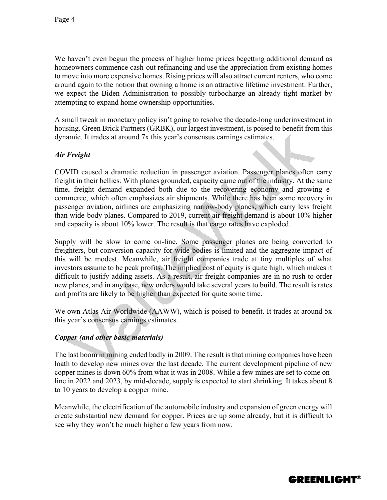We haven't even begun the process of higher home prices begetting additional demand as homeowners commence cash-out refinancing and use the appreciation from existing homes to move into more expensive homes. Rising prices will also attract current renters, who come around again to the notion that owning a home is an attractive lifetime investment. Further, we expect the Biden Administration to possibly turbocharge an already tight market by attempting to expand home ownership opportunities.

A small tweak in monetary policy isn't going to resolve the decade-long underinvestment in housing. Green Brick Partners (GRBK), our largest investment, is poised to benefit from this dynamic. It trades at around 7x this year's consensus earnings estimates.

#### *Air Freight*

COVID caused a dramatic reduction in passenger aviation. Passenger planes often carry freight in their bellies. With planes grounded, capacity came out of the industry. At the same time, freight demand expanded both due to the recovering economy and growing ecommerce, which often emphasizes air shipments. While there has been some recovery in passenger aviation, airlines are emphasizing narrow-body planes, which carry less freight than wide-body planes. Compared to 2019, current air freight demand is about 10% higher and capacity is about 10% lower. The result is that cargo rates have exploded.

Supply will be slow to come on-line. Some passenger planes are being converted to freighters, but conversion capacity for wide-bodies is limited and the aggregate impact of this will be modest. Meanwhile, air freight companies trade at tiny multiples of what investors assume to be peak profits. The implied cost of equity is quite high, which makes it difficult to justify adding assets. As a result, air freight companies are in no rush to order new planes, and in any case, new orders would take several years to build. The result is rates and profits are likely to be higher than expected for quite some time.

We own Atlas Air Worldwide (AAWW), which is poised to benefit. It trades at around 5x this year's consensus earnings estimates.

#### *Copper (and other basic materials)*

The last boom in mining ended badly in 2009. The result is that mining companies have been loath to develop new mines over the last decade. The current development pipeline of new copper mines is down 60% from what it was in 2008. While a few mines are set to come online in 2022 and 2023, by mid-decade, supply is expected to start shrinking. It takes about 8 to 10 years to develop a copper mine.

Meanwhile, the electrification of the automobile industry and expansion of green energy will create substantial new demand for copper. Prices are up some already, but it is difficult to see why they won't be much higher a few years from now.

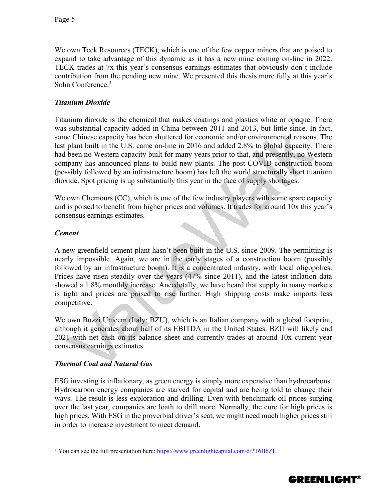We own Teck Resources (TECK), which is one of the few copper miners that are poised to expand to take advantage of this dynamic as it has a new mine coming on-line in 2022. TECK trades at 7x this year's consensus earnings estimates that obviously don't include contribution from the pending new mine. We presented this thesis more fully at this year's Sohn Conference.3

# *Titanium Dioxide*

Titanium dioxide is the chemical that makes coatings and plastics white or opaque. There was substantial capacity added in China between 2011 and 2013, but little since. In fact, some Chinese capacity has been shuttered for economic and/or environmental reasons. The last plant built in the U.S. came on-line in 2016 and added 2.8% to global capacity. There had been no Western capacity built for many years prior to that, and presently, no Western company has announced plans to build new plants. The post-COVID construction boom (possibly followed by an infrastructure boom) has left the world structurally short titanium dioxide. Spot pricing is up substantially this year in the face of supply shortages.

We own Chemours (CC), which is one of the few industry players with some spare capacity and is poised to benefit from higher prices and volumes. It trades for around 10x this year's consensus earnings estimates.

## *Cement*

 $\overline{a}$ 

A new greenfield cement plant hasn't been built in the U.S. since 2009. The permitting is nearly impossible. Again, we are in the early stages of a construction boom (possibly followed by an infrastructure boom). It is a concentrated industry, with local oligopolies. Prices have risen steadily over the years (47% since 2011), and the latest inflation data showed a 1.8% monthly increase. Anecdotally, we have heard that supply in many markets is tight and prices are poised to rise further. High shipping costs make imports less competitive.

We own Buzzi Unicem (Italy: BZU), which is an Italian company with a global footprint, although it generates about half of its EBITDA in the United States. BZU will likely end 2021 with net cash on its balance sheet and currently trades at around 10x current year consensus earnings estimates.

## *Thermal Coal and Natural Gas*

ESG investing is inflationary, as green energy is simply more expensive than hydrocarbons. Hydrocarbon energy companies are starved for capital and are being told to change their ways. The result is less exploration and drilling. Even with benchmark oil prices surging over the last year, companies are loath to drill more. Normally, the cure for high prices is high prices. With ESG in the proverbial driver's seat, we might need much higher prices still in order to increase investment to meet demand.

<sup>&</sup>lt;sup>3</sup> You can see the full presentation here: https://www.greenlightcapital.com/d/?T6B6ZL

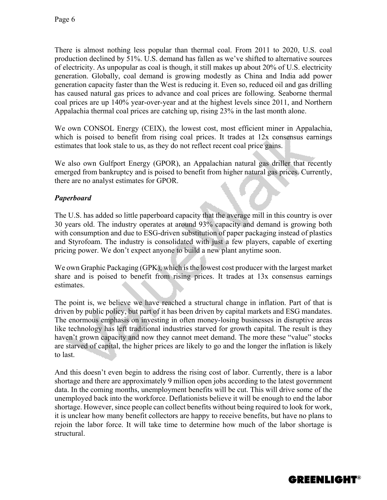There is almost nothing less popular than thermal coal. From 2011 to 2020, U.S. coal production declined by 51%. U.S. demand has fallen as we've shifted to alternative sources of electricity. As unpopular as coal is though, it still makes up about 20% of U.S. electricity generation. Globally, coal demand is growing modestly as China and India add power generation capacity faster than the West is reducing it. Even so, reduced oil and gas drilling has caused natural gas prices to advance and coal prices are following. Seaborne thermal coal prices are up 140% year-over-year and at the highest levels since 2011, and Northern Appalachia thermal coal prices are catching up, rising 23% in the last month alone.

We own CONSOL Energy (CEIX), the lowest cost, most efficient miner in Appalachia, which is poised to benefit from rising coal prices. It trades at 12x consensus earnings estimates that look stale to us, as they do not reflect recent coal price gains.

We also own Gulfport Energy (GPOR), an Appalachian natural gas driller that recently emerged from bankruptcy and is poised to benefit from higher natural gas prices. Currently, there are no analyst estimates for GPOR.

# *Paperboard*

The U.S. has added so little paperboard capacity that the average mill in this country is over 30 years old. The industry operates at around 93% capacity and demand is growing both with consumption and due to ESG-driven substitution of paper packaging instead of plastics and Styrofoam. The industry is consolidated with just a few players, capable of exerting pricing power. We don't expect anyone to build a new plant anytime soon.

We own Graphic Packaging (GPK), which is the lowest cost producer with the largest market share and is poised to benefit from rising prices. It trades at 13x consensus earnings estimates.

The point is, we believe we have reached a structural change in inflation. Part of that is driven by public policy, but part of it has been driven by capital markets and ESG mandates. The enormous emphasis on investing in often money-losing businesses in disruptive areas like technology has left traditional industries starved for growth capital. The result is they haven't grown capacity and now they cannot meet demand. The more these "value" stocks are starved of capital, the higher prices are likely to go and the longer the inflation is likely to last.

And this doesn't even begin to address the rising cost of labor. Currently, there is a labor shortage and there are approximately 9 million open jobs according to the latest government data. In the coming months, unemployment benefits will be cut. This will drive some of the unemployed back into the workforce. Deflationists believe it will be enough to end the labor shortage. However, since people can collect benefits without being required to look for work, it is unclear how many benefit collectors are happy to receive benefits, but have no plans to rejoin the labor force. It will take time to determine how much of the labor shortage is structural.

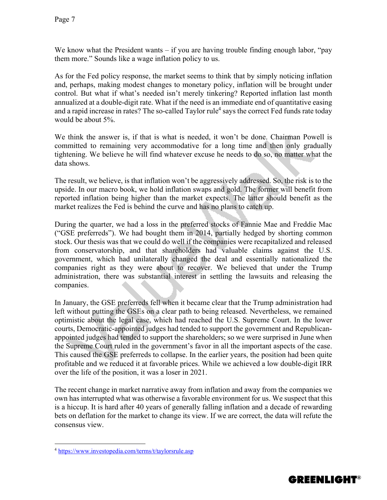We know what the President wants – if you are having trouble finding enough labor, "pay them more." Sounds like a wage inflation policy to us.

As for the Fed policy response, the market seems to think that by simply noticing inflation and, perhaps, making modest changes to monetary policy, inflation will be brought under control. But what if what's needed isn't merely tinkering? Reported inflation last month annualized at a double-digit rate. What if the need is an immediate end of quantitative easing and a rapid increase in rates? The so-called Taylor rule<sup>4</sup> says the correct Fed funds rate today would be about 5%.

We think the answer is, if that is what is needed, it won't be done. Chairman Powell is committed to remaining very accommodative for a long time and then only gradually tightening. We believe he will find whatever excuse he needs to do so, no matter what the data shows.

The result, we believe, is that inflation won't be aggressively addressed. So, the risk is to the upside. In our macro book, we hold inflation swaps and gold. The former will benefit from reported inflation being higher than the market expects. The latter should benefit as the market realizes the Fed is behind the curve and has no plans to catch up.

During the quarter, we had a loss in the preferred stocks of Fannie Mae and Freddie Mac ("GSE preferreds"). We had bought them in 2014, partially hedged by shorting common stock. Our thesis was that we could do well if the companies were recapitalized and released from conservatorship, and that shareholders had valuable claims against the U.S. government, which had unilaterally changed the deal and essentially nationalized the companies right as they were about to recover. We believed that under the Trump administration, there was substantial interest in settling the lawsuits and releasing the companies.

In January, the GSE preferreds fell when it became clear that the Trump administration had left without putting the GSEs on a clear path to being released. Nevertheless, we remained optimistic about the legal case, which had reached the U.S. Supreme Court. In the lower courts, Democratic-appointed judges had tended to support the government and Republicanappointed judges had tended to support the shareholders; so we were surprised in June when the Supreme Court ruled in the government's favor in all the important aspects of the case. This caused the GSE preferreds to collapse. In the earlier years, the position had been quite profitable and we reduced it at favorable prices. While we achieved a low double-digit IRR over the life of the position, it was a loser in 2021.

The recent change in market narrative away from inflation and away from the companies we own has interrupted what was otherwise a favorable environment for us. We suspect that this is a hiccup. It is hard after 40 years of generally falling inflation and a decade of rewarding bets on deflation for the market to change its view. If we are correct, the data will refute the consensus view.

 $\overline{a}$ 



<sup>4</sup> https://www.investopedia.com/terms/t/taylorsrule.asp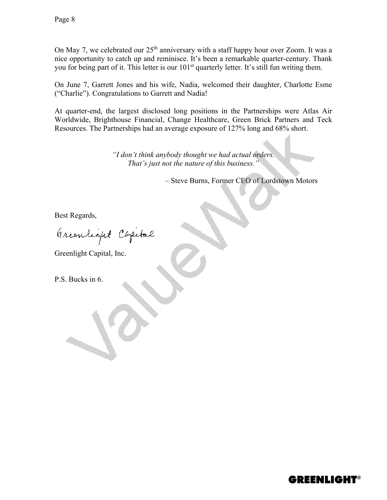On May 7, we celebrated our  $25<sup>th</sup>$  anniversary with a staff happy hour over Zoom. It was a nice opportunity to catch up and reminisce. It's been a remarkable quarter-century. Thank you for being part of it. This letter is our  $101<sup>st</sup>$  quarterly letter. It's still fun writing them.

On June 7, Garrett Jones and his wife, Nadia, welcomed their daughter, Charlotte Esme ("Charlie"). Congratulations to Garrett and Nadia!

At quarter-end, the largest disclosed long positions in the Partnerships were Atlas Air Worldwide, Brighthouse Financial, Change Healthcare, Green Brick Partners and Teck Resources. The Partnerships had an average exposure of 127% long and 68% short.

> *"I don't think anybody thought we had actual orders. That's just not the nature of this business."*

> > – Steve Burns, Former CEO of Lordstown Motors

Best Regards,

arcentique Capital

Greenlight Capital, Inc.

P.S. Bucks in 6.